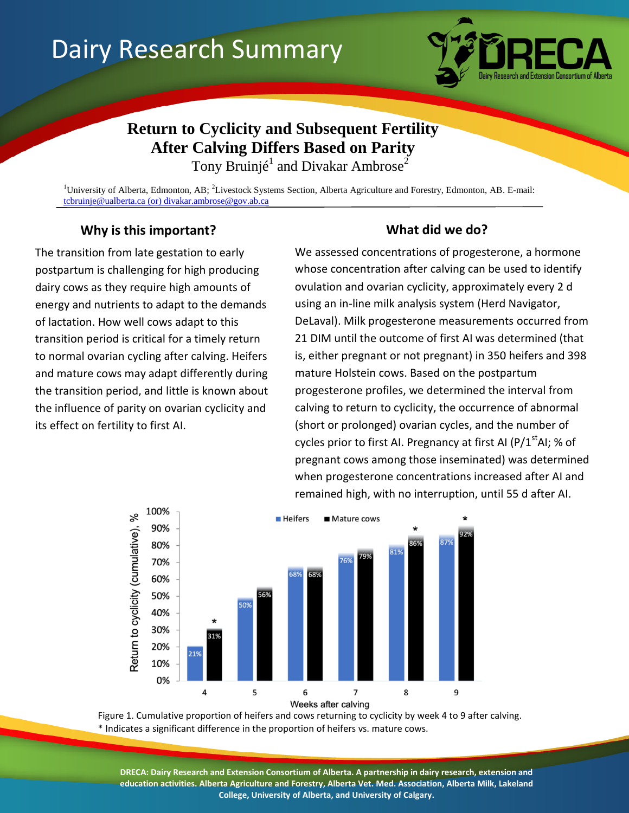# Dairy Research Summary



## **Return to Cyclicity and Subsequent Fertility After Calving Differs Based on Parity**

Tony Bruinjé<sup>1</sup> and Divakar Ambrose<sup>2</sup>

<sup>1</sup>University of Alberta, Edmonton, AB;  ${}^{2}$ Livestock Systems Section, Alberta Agriculture and Forestry, Edmonton, AB. E-mail: [tcbruinje@ualberta.ca](mailto:tcbruinje@ualberta.ca) (or) divakar.ambrose@gov.ab.ca

## **Why is this important? What did we do?**

The transition from late gestation to early postpartum is challenging for high producing dairy cows as they require high amounts of energy and nutrients to adapt to the demands of lactation. How well cows adapt to this transition period is critical for a timely return to normal ovarian cycling after calving. Heifers and mature cows may adapt differently during the transition period, and little is known about the influence of parity on ovarian cyclicity and its effect on fertility to first AI.

We assessed concentrations of progesterone, a hormone whose concentration after calving can be used to identify ovulation and ovarian cyclicity, approximately every 2 d using an in-line milk analysis system (Herd Navigator, DeLaval). Milk progesterone measurements occurred from 21 DIM until the outcome of first AI was determined (that is, either pregnant or not pregnant) in 350 heifers and 398 mature Holstein cows. Based on the postpartum progesterone profiles, we determined the interval from calving to return to cyclicity, the occurrence of abnormal (short or prolonged) ovarian cycles, and the number of cycles prior to first AI. Pregnancy at first AI (P/1<sup>st</sup>AI; % of pregnant cows among those inseminated) was determined when progesterone concentrations increased after AI and remained high, with no interruption, until 55 d after AI.



Figure 1. Cumulative proportion of heifers and cows returning to cyclicity by week 4 to 9 after calving. \* Indicates a significant difference in the proportion of heifers vs. mature cows.

**DRECA: Dairy Research and Extension Consortium of Alberta. A partnership in dairy research, extension and education activities. Alberta Agriculture and Forestry, Alberta Vet. Med. Association, Alberta Milk, Lakeland College, University of Alberta, and University of Calgary.**